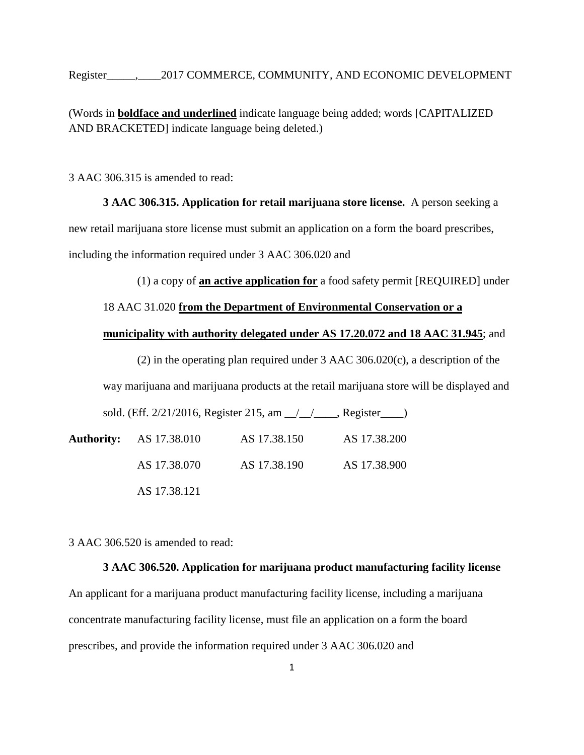Register  $\qquad \qquad .$  2017 COMMERCE, COMMUNITY, AND ECONOMIC DEVELOPMENT

(Words in **boldface and underlined** indicate language being added; words [CAPITALIZED AND BRACKETED] indicate language being deleted.)

3 AAC 306.315 is amended to read:

**[3 AAC 306.315. Application for retail marijuana store license.](http://www.legis.state.ak.us/basis/aac.asp#3.306.315)** A person seeking a new retail marijuana store license must submit an application on a form the board prescribes, including the information required under 3 AAC 306.020 and

(1) a copy of **an active application for** a food safety permit [REQUIRED] under

### 18 AAC 31.020 **from the Department of Environmental Conservation or a**

### **municipality with authority delegated under AS 17.20.072 and 18 AAC 31.945**; and

(2) in the operating plan required under 3 AAC 306.020(c), a description of the

way marijuana and marijuana products at the retail marijuana store will be displayed and

|                                | sold. (Eff. 2/21/2016, Register 215, am 1/1/2000, Register |              |
|--------------------------------|------------------------------------------------------------|--------------|
| <b>Authority:</b> AS 17.38.010 | AS 17.38.150                                               | AS 17.38.200 |
| AS 17.38.070                   | AS 17.38.190                                               | AS 17.38.900 |
| AS 17.38.121                   |                                                            |              |

3 AAC 306.520 is amended to read:

### **3 AAC 306.520. Application for marijuana product manufacturing facility license**

An applicant for a marijuana product manufacturing facility license, including a marijuana concentrate manufacturing facility license, must file an application on a form the board prescribes, and provide the information required under 3 AAC 306.020 and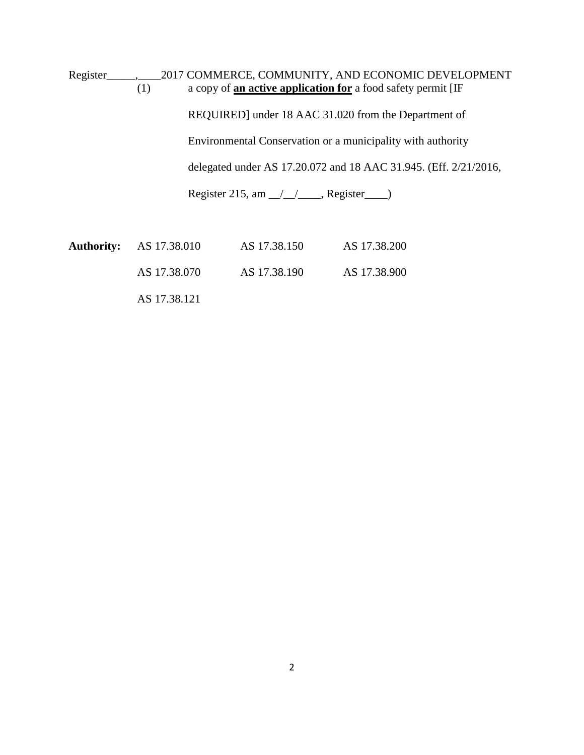Register\_\_\_\_\_,\_\_\_\_2017 COMMERCE, COMMUNITY, AND ECONOMIC DEVELOPMENT (1) a copy of **an active application for** a food safety permit [IF REQUIRED] under 18 AAC 31.020 from the Department of Environmental Conservation or a municipality with authority delegated under AS 17.20.072 and 18 AAC 31.945. (Eff. 2/21/2016, Register 215, am  $\angle$  /  $\angle$  Register

| <b>Authority:</b> AS 17.38.010 | AS 17.38.150 | AS 17.38.200 |
|--------------------------------|--------------|--------------|
| AS 17.38.070                   | AS 17.38.190 | AS 17.38.900 |

AS 17.38.121